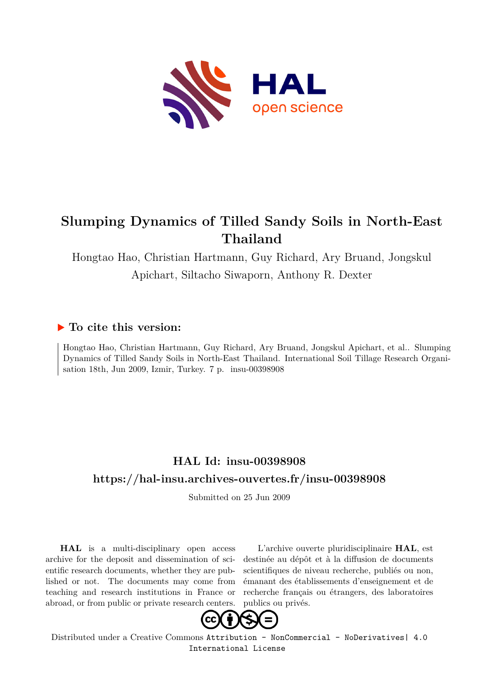

# **Slumping Dynamics of Tilled Sandy Soils in North-East Thailand**

Hongtao Hao, Christian Hartmann, Guy Richard, Ary Bruand, Jongskul Apichart, Siltacho Siwaporn, Anthony R. Dexter

## **To cite this version:**

Hongtao Hao, Christian Hartmann, Guy Richard, Ary Bruand, Jongskul Apichart, et al.. Slumping Dynamics of Tilled Sandy Soils in North-East Thailand. International Soil Tillage Research Organisation 18th, Jun 2009, Izmir, Turkey. 7 p. insu-00398908

## **HAL Id: insu-00398908 <https://hal-insu.archives-ouvertes.fr/insu-00398908>**

Submitted on 25 Jun 2009

**HAL** is a multi-disciplinary open access archive for the deposit and dissemination of scientific research documents, whether they are published or not. The documents may come from teaching and research institutions in France or abroad, or from public or private research centers.

L'archive ouverte pluridisciplinaire **HAL**, est destinée au dépôt et à la diffusion de documents scientifiques de niveau recherche, publiés ou non, émanant des établissements d'enseignement et de recherche français ou étrangers, des laboratoires publics ou privés.



Distributed under a Creative Commons [Attribution - NonCommercial - NoDerivatives| 4.0](http://creativecommons.org/licenses/by-nc-nd/4.0/) [International License](http://creativecommons.org/licenses/by-nc-nd/4.0/)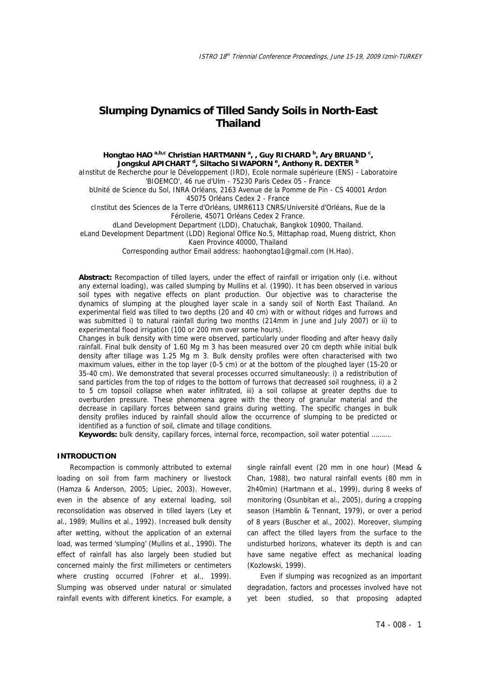### **Slumping Dynamics of Tilled Sandy Soils in North-East Thailand**

#### Hongtao HAO <sup>a,b,c</sup> Christian HARTMANN <sup>a</sup>, , Guy RICHARD <sup>b</sup>, Ary BRUAND <sup>c</sup>, **Jongskul APICHART <sup>d</sup> , Siltacho SIWAPORN e , Anthony R. DEXTER <sup>b</sup>**

aInstitut de Recherche pour le Développement (IRD), Ecole normale supérieure (ENS) - Laboratoire 'BIOEMCO', 46 rue d'Ulm - 75230 Paris Cedex 05 - France

bUnité de Science du Sol, INRA Orléans, 2163 Avenue de la Pomme de Pin - CS 40001 Ardon 45075 Orléans Cedex 2 - France

cInstitut des Sciences de la Terre d'Orléans, UMR6113 CNRS/Université d'Orléans, Rue de la Férollerie, 45071 Orléans Cedex 2 France.

dLand Development Department (LDD), Chatuchak, Bangkok 10900, Thailand.

eLand Development Department (LDD) Regional Office No.5, Mittaphap road, Mueng district, Khon Kaen Province 40000, Thailand

Corresponding author Email address: haohongtao1@gmail.com (H.Hao).

**Abstract:** Recompaction of tilled layers, under the effect of rainfall or irrigation only (i.e. without any external loading), was called slumping by Mullins et al. (1990). It has been observed in various soil types with negative effects on plant production. Our objective was to characterise the dynamics of slumping at the ploughed layer scale in a sandy soil of North East Thailand. An experimental field was tilled to two depths (20 and 40 cm) with or without ridges and furrows and was submitted i) to natural rainfall during two months (214mm in June and July 2007) or ii) to experimental flood irrigation (100 or 200 mm over some hours).

Changes in bulk density with time were observed, particularly under flooding and after heavy daily rainfall. Final bulk density of 1.60 Mg m 3 has been measured over 20 cm depth while initial bulk density after tillage was 1.25 Mg m 3. Bulk density profiles were often characterised with two maximum values, either in the top layer (0-5 cm) or at the bottom of the ploughed layer (15-20 or 35-40 cm). We demonstrated that several processes occurred simultaneously: i) a redistribution of sand particles from the top of ridges to the bottom of furrows that decreased soil roughness, ii) a 2 to 5 cm topsoil collapse when water infiltrated, iii) a soil collapse at greater depths due to overburden pressure. These phenomena agree with the theory of granular material and the decrease in capillary forces between sand grains during wetting. The specific changes in bulk density profiles induced by rainfall should allow the occurrence of slumping to be predicted or identified as a function of soil, climate and tillage conditions.

**Keywords:** bulk density, capillary forces, internal force, recompaction, soil water potential ……….

#### **INTRODUCTION**

Recompaction is commonly attributed to external loading on soil from farm machinery or livestock (Hamza & Anderson, 2005; Lipiec, 2003). However, even in the absence of any external loading, soil reconsolidation was observed in tilled layers (Ley et al., 1989; Mullins et al., 1992). Increased bulk density after wetting, without the application of an external load, was termed 'slumping' (Mullins et al., 1990). The effect of rainfall has also largely been studied but concerned mainly the first millimeters or centimeters where crusting occurred (Fohrer et al., 1999). Slumping was observed under natural or simulated rainfall events with different kinetics. For example, a

single rainfall event (20 mm in one hour) (Mead & Chan, 1988), two natural rainfall events (80 mm in 2h40min) (Hartmann et al., 1999), during 8 weeks of monitoring (Osunbitan et al., 2005), during a cropping season (Hamblin & Tennant, 1979), or over a period of 8 years (Buscher et al., 2002). Moreover, slumping can affect the tilled layers from the surface to the undisturbed horizons, whatever its depth is and can have same negative effect as mechanical loading (Kozlowski, 1999).

Even if slumping was recognized as an important degradation, factors and processes involved have not yet been studied, so that proposing adapted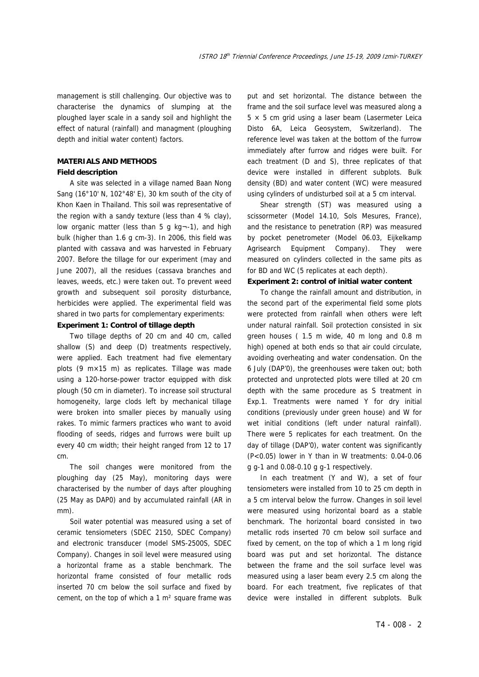management is still challenging. Our objective was to characterise the dynamics of slumping at the ploughed layer scale in a sandy soil and highlight the effect of natural (rainfall) and managment (ploughing depth and initial water content) factors.

#### **MATERIALS AND METHODS**

#### **Field description**

A site was selected in a village named Baan Nong Sang (16°10' N, 102°48' E), 30 km south of the city of Khon Kaen in Thailand. This soil was representative of the region with a sandy texture (less than 4 % clay), low organic matter (less than 5 g kg¬-1), and high bulk (higher than 1.6 g cm-3). In 2006, this field was planted with cassava and was harvested in February 2007. Before the tillage for our experiment (may and June 2007), all the residues (cassava branches and leaves, weeds, etc.) were taken out. To prevent weed growth and subsequent soil porosity disturbance, herbicides were applied. The experimental field was shared in two parts for complementary experiments:

#### **Experiment 1: Control of tillage depth**

Two tillage depths of 20 cm and 40 cm, called shallow (S) and deep (D) treatments respectively, were applied. Each treatment had five elementary plots (9 m×15 m) as replicates. Tillage was made using a 120-horse-power tractor equipped with disk plough (50 cm in diameter). To increase soil structural homogeneity, large clods left by mechanical tillage were broken into smaller pieces by manually using rakes. To mimic farmers practices who want to avoid flooding of seeds, ridges and furrows were built up every 40 cm width; their height ranged from 12 to 17 cm.

The soil changes were monitored from the ploughing day (25 May), monitoring days were characterised by the number of days after ploughing (25 May as DAP0) and by accumulated rainfall (AR in mm).

Soil water potential was measured using a set of ceramic tensiometers (SDEC 2150, SDEC Company) and electronic transducer (model SMS-2500S, SDEC Company). Changes in soil level were measured using a horizontal frame as a stable benchmark. The horizontal frame consisted of four metallic rods inserted 70 cm below the soil surface and fixed by cement, on the top of which a 1 m² square frame was

put and set horizontal. The distance between the frame and the soil surface level was measured along a  $5 \times 5$  cm grid using a laser beam (Lasermeter Leica Disto 6A, Leica Geosystem, Switzerland). The reference level was taken at the bottom of the furrow immediately after furrow and ridges were built. For each treatment (D and S), three replicates of that device were installed in different subplots. Bulk density (BD) and water content (WC) were measured using cylinders of undisturbed soil at a 5 cm interval.

Shear strength (ST) was measured using a scissormeter (Model 14.10, Sols Mesures, France), and the resistance to penetration (RP) was measured by pocket penetrometer (Model 06.03, Eijkelkamp Agrisearch Equipment Company). They were measured on cylinders collected in the same pits as for BD and WC (5 replicates at each depth).

#### **Experiment 2: control of initial water content**

To change the rainfall amount and distribution, in the second part of the experimental field some plots were protected from rainfall when others were left under natural rainfall. Soil protection consisted in six green houses ( 1.5 m wide, 40 m long and 0.8 m high) opened at both ends so that air could circulate, avoiding overheating and water condensation. On the 6 July (DAP'0), the greenhouses were taken out; both protected and unprotected plots were tilled at 20 cm depth with the same procedure as S treatment in Exp.1. Treatments were named Y for dry initial conditions (previously under green house) and W for wet initial conditions (left under natural rainfall). There were 5 replicates for each treatment. On the day of tillage (DAP'0), water content was significantly (P<0.05) lower in Y than in W treatments: 0.04-0.06 g g-1 and 0.08-0.10 g g-1 respectively.

In each treatment (Y and W), a set of four tensiometers were installed from 10 to 25 cm depth in a 5 cm interval below the furrow. Changes in soil level were measured using horizontal board as a stable benchmark. The horizontal board consisted in two metallic rods inserted 70 cm below soil surface and fixed by cement, on the top of which a 1 m long rigid board was put and set horizontal. The distance between the frame and the soil surface level was measured using a laser beam every 2.5 cm along the board. For each treatment, five replicates of that device were installed in different subplots. Bulk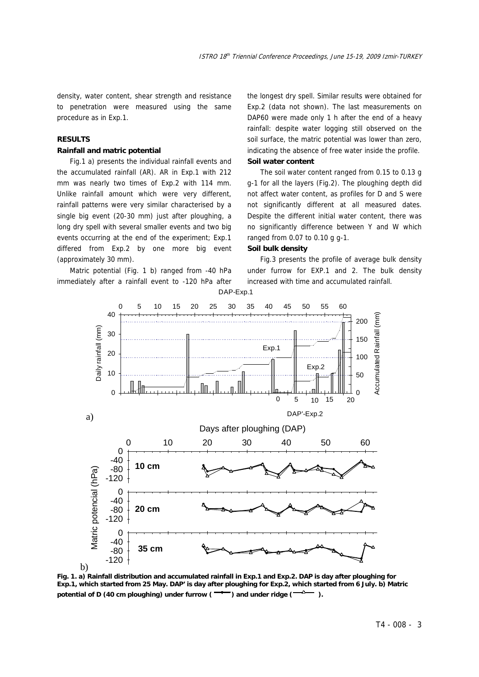density, water content, shear strength and resistance to penetration were measured using the same procedure as in Exp.1.

#### **RESULTS**

#### **Rainfall and matric potential**

Fig.1 a) presents the individual rainfall events and the accumulated rainfall (AR). AR in Exp.1 with 212 mm was nearly two times of Exp.2 with 114 mm. Unlike rainfall amount which were very different, rainfall patterns were very similar characterised by a single big event (20-30 mm) just after ploughing, a long dry spell with several smaller events and two big events occurring at the end of the experiment; Exp.1 differed from Exp.2 by one more big event (approximately 30 mm).

Matric potential (Fig. 1 b) ranged from -40 hPa immediately after a rainfall event to -120 hPa after the longest dry spell. Similar results were obtained for Exp.2 (data not shown). The last measurements on DAP60 were made only 1 h after the end of a heavy rainfall: despite water logging still observed on the soil surface, the matric potential was lower than zero, indicating the absence of free water inside the profile. **Soil water content** 

The soil water content ranged from 0.15 to 0.13 g g-1 for all the layers (Fig.2). The ploughing depth did not affect water content, as profiles for D and S were not significantly different at all measured dates. Despite the different initial water content, there was no significantly difference between Y and W which ranged from 0.07 to 0.10 g g-1.

#### **Soil bulk density**

Fig.3 presents the profile of average bulk density under furrow for EXP.1 and 2. The bulk density increased with time and accumulated rainfall.



**Fig. 1. a) Rainfall distribution and accumulated rainfall in Exp.1 and Exp.2. DAP is day after ploughing for Exp.1, which started from 25 May. DAP' is day after ploughing for Exp.2, which started from 6 July. b) Matric**  potential of D (40 cm ploughing) under furrow ( $\rightarrow$ ) and under ridge ( $\rightarrow$ <sup>0</sup>).

DAP-Exp.1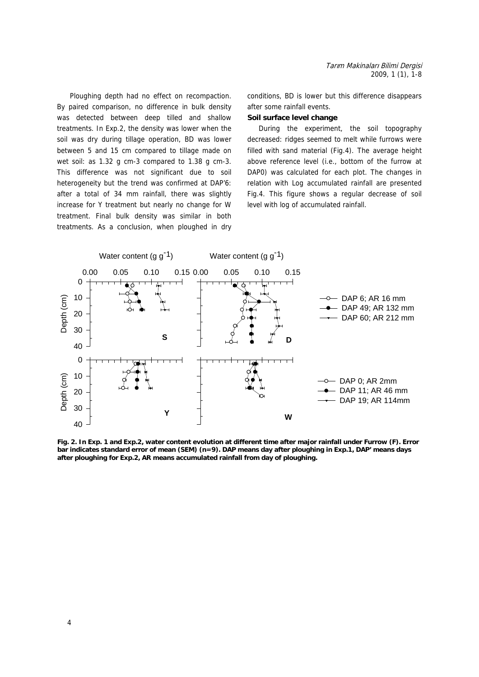Ploughing depth had no effect on recompaction. By paired comparison, no difference in bulk density was detected between deep tilled and shallow treatments. In Exp.2, the density was lower when the soil was dry during tillage operation, BD was lower between 5 and 15 cm compared to tillage made on wet soil: as 1.32 g cm-3 compared to 1.38 g cm-3. This difference was not significant due to soil heterogeneity but the trend was confirmed at DAP'6: after a total of 34 mm rainfall, there was slightly increase for Y treatment but nearly no change for W treatment. Final bulk density was similar in both treatments. As a conclusion, when ploughed in dry conditions, BD is lower but this difference disappears after some rainfall events.

#### **Soil surface level change**

During the experiment, the soil topography decreased: ridges seemed to melt while furrows were filled with sand material (Fig.4). The average height above reference level (i.e., bottom of the furrow at DAP0) was calculated for each plot. The changes in relation with Log accumulated rainfall are presented Fig.4. This figure shows a regular decrease of soil level with log of accumulated rainfall.



**Fig. 2. In Exp. 1 and Exp.2, water content evolution at different time after major rainfall under Furrow (F). Error bar indicates standard error of mean (SEM) (n=9). DAP means day after ploughing in Exp.1, DAP' means days after ploughing for Exp.2, AR means accumulated rainfall from day of ploughing.**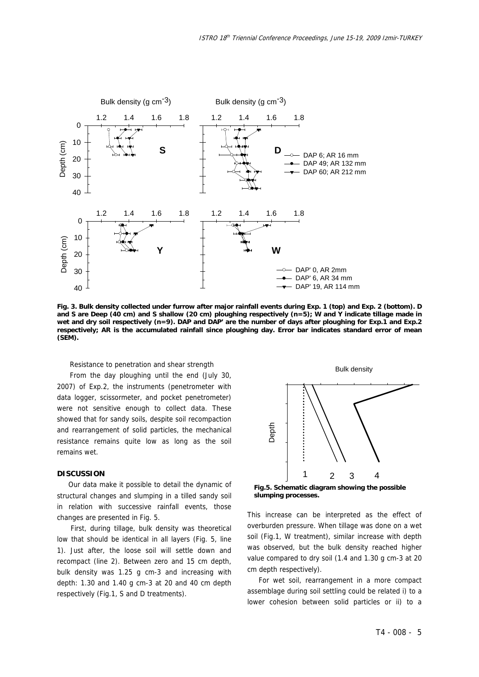

**Fig. 3. Bulk density collected under furrow after major rainfall events during Exp. 1 (top) and Exp. 2 (bottom). D and S are Deep (40 cm) and S shallow (20 cm) ploughing respectively (n=5); W and Y indicate tillage made in wet and dry soil respectively (n=9). DAP and DAP' are the number of days after ploughing for Exp.1 and Exp.2 respectively; AR is the accumulated rainfall since ploughing day. Error bar indicates standard error of mean (SEM).**

Resistance to penetration and shear strength

From the day ploughing until the end (July 30, 2007) of Exp.2, the instruments (penetrometer with data logger, scissormeter, and pocket penetrometer) were not sensitive enough to collect data. These showed that for sandy soils, despite soil recompaction and rearrangement of solid particles, the mechanical resistance remains quite low as long as the soil remains wet.

#### **DISCUSSION**

Our data make it possible to detail the dynamic of structural changes and slumping in a tilled sandy soil in relation with successive rainfall events, those changes are presented in Fig. 5.

 First, during tillage, bulk density was theoretical low that should be identical in all layers (Fig. 5, line 1). Just after, the loose soil will settle down and recompact (line 2). Between zero and 15 cm depth, bulk density was 1.25 g cm-3 and increasing with depth: 1.30 and 1.40 g cm-3 at 20 and 40 cm depth respectively (Fig.1, S and D treatments).



**Fig.5. Schematic diagram showing the possible slumping processes.**

This increase can be interpreted as the effect of overburden pressure. When tillage was done on a wet soil (Fig.1, W treatment), similar increase with depth was observed, but the bulk density reached higher value compared to dry soil (1.4 and 1.30 g cm-3 at 20 cm depth respectively).

For wet soil, rearrangement in a more compact assemblage during soil settling could be related i) to a lower cohesion between solid particles or ii) to a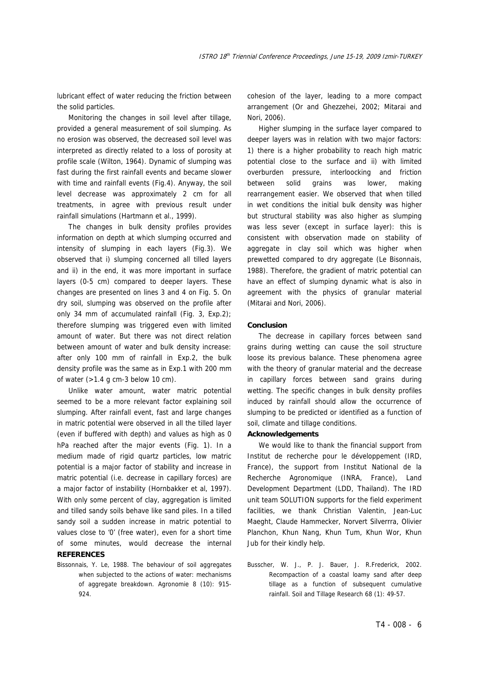lubricant effect of water reducing the friction between the solid particles.

Monitoring the changes in soil level after tillage, provided a general measurement of soil slumping. As no erosion was observed, the decreased soil level was interpreted as directly related to a loss of porosity at profile scale (Wilton, 1964). Dynamic of slumping was fast during the first rainfall events and became slower with time and rainfall events (Fig.4). Anyway, the soil level decrease was approximately 2 cm for all treatments, in agree with previous result under rainfall simulations (Hartmann et al., 1999).

The changes in bulk density profiles provides information on depth at which slumping occurred and intensity of slumping in each layers (Fig.3). We observed that i) slumping concerned all tilled layers and ii) in the end, it was more important in surface layers (0-5 cm) compared to deeper layers. These changes are presented on lines 3 and 4 on Fig. 5. On dry soil, slumping was observed on the profile after only 34 mm of accumulated rainfall (Fig. 3, Exp.2); therefore slumping was triggered even with limited amount of water. But there was not direct relation between amount of water and bulk density increase: after only 100 mm of rainfall in Exp.2, the bulk density profile was the same as in Exp.1 with 200 mm of water  $(>1.4$  g cm-3 below 10 cm).

Unlike water amount, water matric potential seemed to be a more relevant factor explaining soil slumping. After rainfall event, fast and large changes in matric potential were observed in all the tilled layer (even if buffered with depth) and values as high as 0 hPa reached after the major events (Fig. 1). In a medium made of rigid quartz particles, low matric potential is a major factor of stability and increase in matric potential (i.e. decrease in capillary forces) are a major factor of instability (Hornbakker et al, 1997). With only some percent of clay, aggregation is limited and tilled sandy soils behave like sand piles. In a tilled sandy soil a sudden increase in matric potential to values close to '0' (free water), even for a short time of some minutes, would decrease the internal **REFERENCES** 

Bissonnais, Y. Le, 1988. The behaviour of soil aggregates when subjected to the actions of water: mechanisms of aggregate breakdown. Agronomie 8 (10): 915- 924.

cohesion of the layer, leading to a more compact arrangement (Or and Ghezzehei, 2002; Mitarai and Nori, 2006).

Higher slumping in the surface layer compared to deeper layers was in relation with two major factors: 1) there is a higher probability to reach high matric potential close to the surface and ii) with limited overburden pressure, interloocking and friction between solid grains was lower, making rearrangement easier. We observed that when tilled in wet conditions the initial bulk density was higher but structural stability was also higher as slumping was less sever (except in surface layer): this is consistent with observation made on stability of aggregate in clay soil which was higher when prewetted compared to dry aggregate (Le Bisonnais, 1988). Therefore, the gradient of matric potential can have an effect of slumping dynamic what is also in agreement with the physics of granular material (Mitarai and Nori, 2006).

#### **Conclusion**

The decrease in capillary forces between sand grains during wetting can cause the soil structure loose its previous balance. These phenomena agree with the theory of granular material and the decrease in capillary forces between sand grains during wetting. The specific changes in bulk density profiles induced by rainfall should allow the occurrence of slumping to be predicted or identified as a function of soil, climate and tillage conditions.

#### **Acknowledgements**

We would like to thank the financial support from Institut de recherche pour le développement (IRD, France), the support from Institut National de la Recherche Agronomique (INRA, France), Land Development Department (LDD, Thailand). The IRD unit team SOLUTION supports for the field experiment facilities, we thank Christian Valentin, Jean-Luc Maeght, Claude Hammecker, Norvert Silverrra, Olivier Planchon, Khun Nang, Khun Tum, Khun Wor, Khun Jub for their kindly help.

Busscher, W. J., P. J. Bauer, J. R.Frederick, 2002. Recompaction of a coastal loamy sand after deep tillage as a function of subsequent cumulative rainfall. Soil and Tillage Research 68 (1): 49-57.